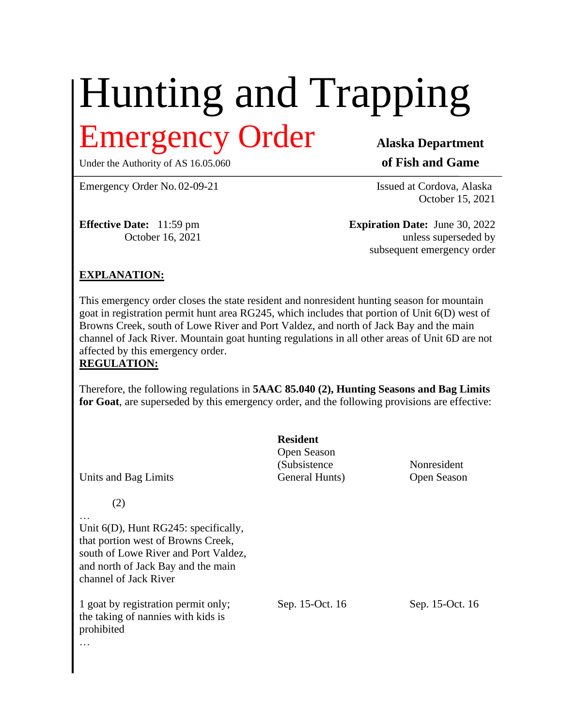## Hunting and Trapping Emergency Order **Alaska Department**

Under the Authority of AS 16.05.060 **of Fish and Game** 

Emergency Order No. 02-09-21 Issued at Cordova, Alaska

October 15, 2021

**Effective Date:** 11:59 pm **Expiration Date:** June 30, 2022 October 16, 2021 unless superseded by subsequent emergency order

## **EXPLANATION:**

This emergency order closes the state resident and nonresident hunting season for mountain goat in registration permit hunt area RG245, which includes that portion of Unit 6(D) west of Browns Creek, south of Lowe River and Port Valdez, and north of Jack Bay and the main channel of Jack River. Mountain goat hunting regulations in all other areas of Unit 6D are not affected by this emergency order. **REGULATION:**

Therefore, the following regulations in **5AAC 85.040 (2), Hunting Seasons and Bag Limits for Goat**, are superseded by this emergency order, and the following provisions are effective:

**Resident** Open Season (Subsistence Nonresident Units and Bag Limits General Hunts) Open Season (2) Unit 6(D), Hunt RG245: specifically, that portion west of Browns Creek, south of Lowe River and Port Valdez, and north of Jack Bay and the main channel of Jack River 1 goat by registration permit only; Sep. 15-Oct. 16 Sep. 15-Oct. 16 the taking of nannies with kids is prohibited

…

…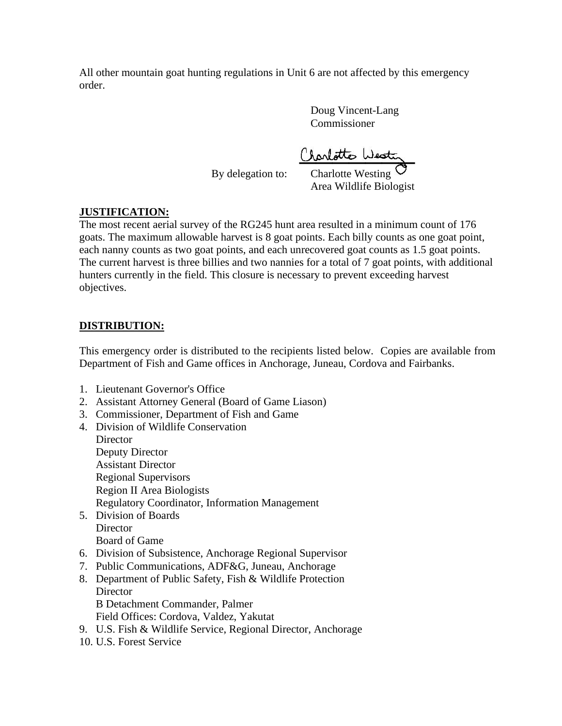All other mountain goat hunting regulations in Unit 6 are not affected by this emergency order.

> Doug Vincent-Lang Commissioner

Claritte West

By delegation to:

Area Wildlife Biologist

## **JUSTIFICATION:**

The most recent aerial survey of the RG245 hunt area resulted in a minimum count of 176 goats. The maximum allowable harvest is 8 goat points. Each billy counts as one goat point, each nanny counts as two goat points, and each unrecovered goat counts as 1.5 goat points. The current harvest is three billies and two nannies for a total of 7 goat points, with additional hunters currently in the field. This closure is necessary to prevent exceeding harvest objectives.

## **DISTRIBUTION:**

This emergency order is distributed to the recipients listed below. Copies are available from Department of Fish and Game offices in Anchorage, Juneau, Cordova and Fairbanks.

- 1. Lieutenant Governor's Office
- 2. Assistant Attorney General (Board of Game Liason)
- 3. Commissioner, Department of Fish and Game
- 4. Division of Wildlife Conservation **Director** Deputy Director Assistant Director Regional Supervisors Region II Area Biologists Regulatory Coordinator, Information Management 5. Division of Boards
- **Director** Board of Game
- 6. Division of Subsistence, Anchorage Regional Supervisor
- 7. Public Communications, ADF&G, Juneau, Anchorage
- 8. Department of Public Safety, Fish & Wildlife Protection **Director** B Detachment Commander, Palmer Field Offices: Cordova, Valdez, Yakutat
- 9. U.S. Fish & Wildlife Service, Regional Director, Anchorage
- 10. U.S. Forest Service